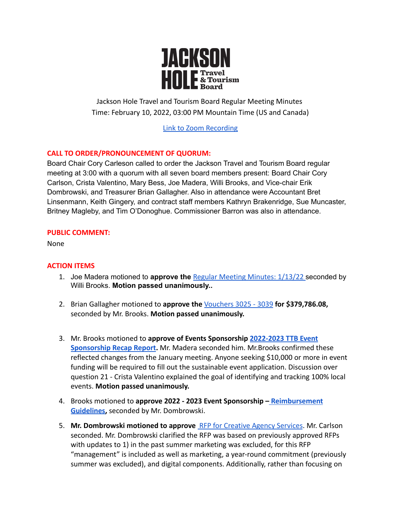

Jackson Hole Travel and Tourism Board Regular Meeting Minutes Time: February 10, 2022, 03:00 PM Mountain Time (US and Canada)

[Link to Zoom Recording](https://us02web.zoom.us/rec/play/VO7iXBPy-OYYch6oZpVRzSo-e2MD7vG9ow4fdT_n0u8UiAz7WUvTMPK_FsF1MLXg523542oVArJWRYtN.ZJvpH3-FtyS0zn9H?autoplay=true)

# **CALL TO ORDER/PRONOUNCEMENT OF QUORUM:**

Board Chair Cory Carleson called to order the Jackson Travel and Tourism Board regular meeting at 3:00 with a quorum with all seven board members present: Board Chair Cory Carlson, Crista Valentino, Mary Bess, Joe Madera, Willi Brooks, and Vice-chair Erik Dombrowski, and Treasurer Brian Gallagher. Also in attendance were Accountant Bret Linsenmann, Keith Gingery, and contract staff members Kathryn Brakenridge, Sue Muncaster, Britney Magleby, and Tim O'Donoghue. Commissioner Barron was also in attendance.

# **PUBLIC COMMENT:**

None

# **ACTION ITEMS**

- 1. Joe Madera motioned to **approve the** Regular Meeting [Minutes: 1/13/22](https://www.tetoncountywy.gov/DocumentCenter/View/21223/Jan-13-2022-Minutes-) seconded by Willi Brooks. **Motion passed unanimously..**
- 2. Brian Gallagher motioned to **approve the** [Vouchers 3025](https://www.tetoncountywy.gov/DocumentCenter/View/21250/2022-02-JHTTJPB-Vouchers-3025-to-3039-Summary) 3039 **for \$379,786.08,** seconded by Mr. Brooks. **Motion passed unanimously.**
- 3. Mr. Brooks motioned to **approve of Events Sponsorship [2022-2023 TTB Event](https://www.tetoncountywy.gov/DocumentCenter/View/21225/22-23-TTB-Event-Sponsorship-Recap-Report---Google-Forms) [Sponsorship Recap Report](https://www.tetoncountywy.gov/DocumentCenter/View/21225/22-23-TTB-Event-Sponsorship-Recap-Report---Google-Forms).** Mr. Madera seconded him. Mr.Brooks confirmed these reflected changes from the January meeting. Anyone seeking \$10,000 or more in event funding will be required to fill out the sustainable event application. Discussion over question 21 - Crista Valentino explained the goal of identifying and tracking 100% local events. **Motion passed unanimously.**
- 4. Brooks motioned to **approve 2022 2023 Event Sponsorship – [Reimbursement](https://www.tetoncountywy.gov/DocumentCenter/View/21226/22-23-Reimbursement-_-YOY-Changes-Highlighted) [Guidelines,](https://www.tetoncountywy.gov/DocumentCenter/View/21226/22-23-Reimbursement-_-YOY-Changes-Highlighted)** seconded by Mr. Dombrowski.
- 5. **Mr. Dombrowski motioned to approve** [RFP for Creative](https://www.tetoncountywy.gov/DocumentCenter/View/21249/RFP-Creative-Agency-Services-JHTTB-2022docx) Agency Services. Mr. Carlson seconded. Mr. Dombrowski clarified the RFP was based on previously approved RFPs with updates to 1) in the past summer marketing was excluded, for this RFP "management" is included as well as marketing, a year-round commitment (previously summer was excluded), and digital components. Additionally, rather than focusing on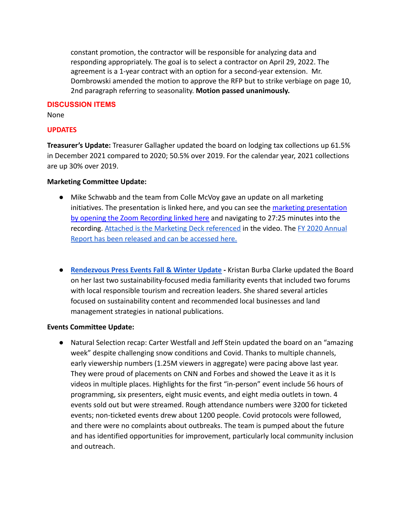constant promotion, the contractor will be responsible for analyzing data and responding appropriately. The goal is to select a contractor on April 29, 2022. The agreement is a 1-year contract with an option for a second-year extension. Mr. Dombrowski amended the motion to approve the RFP but to strike verbiage on page 10, 2nd paragraph referring to seasonality. **Motion passed unanimously.**

#### **DISCUSSION ITEMS**

None

# **UPDATES**

**Treasurer's Update:** Treasurer Gallagher updated the board on lodging tax collections up 61.5% in December 2021 compared to 2020; 50.5% over 2019. For the calendar year, 2021 collections are up 30% over 2019.

### **Marketing Committee Update:**

- Mike Schwabb and the team from Colle McVoy gave an update on all marketing initiatives. The presentation is linked here, and you can see the [marketing presentation](https://us02web.zoom.us/rec/share/TTL7SY6UvXR4TwNMffr6zRPv_w6J-0ftFTPOfbGKxQLZYMAz0r9Z9Slfl91LeKq3.a9TvJk7NkmRtHwX6?startTime=1644530366000) [by opening the Zoom Recording linked here](https://us02web.zoom.us/rec/share/TTL7SY6UvXR4TwNMffr6zRPv_w6J-0ftFTPOfbGKxQLZYMAz0r9Z9Slfl91LeKq3.a9TvJk7NkmRtHwX6?startTime=1644530366000) and navigating to 27:25 minutes into the recording. [Attached is the Marketing Deck referenced](https://drive.google.com/file/d/1p4Q22zZO5O8gPGNq-_wT9FgLDmR48W-P/view?usp=sharing) in the video. The [FY 2020 Annual](http://visit-jackson-hole.s3.amazonaws.com/assets/pdfs/JHTTB-2021-Annual-Report.pdf) [Report has been released and can be accessed here.](http://visit-jackson-hole.s3.amazonaws.com/assets/pdfs/JHTTB-2021-Annual-Report.pdf)
- **[Rendezvous Press Events Fall & Winter Update](https://www.tetoncountywy.gov/DocumentCenter/View/21224/Recap-for-JHTTB-of-Responsible-Tourism-Panels) -** Kristan Burba Clarke updated the Board on her last two sustainability-focused media familiarity events that included two forums with local responsible tourism and recreation leaders. She shared several articles focused on sustainability content and recommended local businesses and land management strategies in national publications.

#### **Events Committee Update:**

● Natural Selection recap: Carter Westfall and Jeff Stein updated the board on an "amazing week" despite challenging snow conditions and Covid. Thanks to multiple channels, early viewership numbers (1.25M viewers in aggregate) were pacing above last year. They were proud of placements on CNN and Forbes and showed the Leave it as it Is videos in multiple places. Highlights for the first "in-person" event include 56 hours of programming, six presenters, eight music events, and eight media outlets in town. 4 events sold out but were streamed. Rough attendance numbers were 3200 for ticketed events; non-ticketed events drew about 1200 people. Covid protocols were followed, and there were no complaints about outbreaks. The team is pumped about the future and has identified opportunities for improvement, particularly local community inclusion and outreach.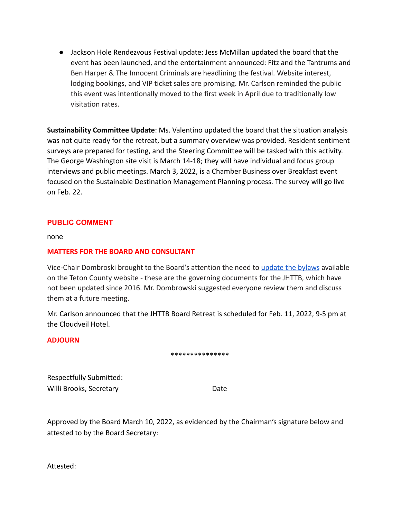● Jackson Hole Rendezvous Festival update: Jess McMillan updated the board that the event has been launched, and the entertainment announced: Fitz and the Tantrums and Ben Harper & The Innocent Criminals are headlining the festival. Website interest, lodging bookings, and VIP ticket sales are promising. Mr. Carlson reminded the public this event was intentionally moved to the first week in April due to traditionally low visitation rates.

**Sustainability Committee Update**: Ms. Valentino updated the board that the situation analysis was not quite ready for the retreat, but a summary overview was provided. Resident sentiment surveys are prepared for testing, and the Steering Committee will be tasked with this activity. The George Washington site visit is March 14-18; they will have individual and focus group interviews and public meetings. March 3, 2022, is a Chamber Business over Breakfast event focused on the Sustainable Destination Management Planning process. The survey will go live on Feb. 22.

# **PUBLIC COMMENT**

none

#### **MATTERS FOR THE BOARD AND CONSULTANT**

Vice-Chair Dombroski brought to the Board's attention the need to [update the bylaws](http://www.tetoncountywy.gov/DocumentCenter/View/21258/2ND-AMENDED-BY-LAWS-3-10-16-final) available on the Teton County website - these are the governing documents for the JHTTB, which have not been updated since 2016. Mr. Dombrowski suggested everyone review them and discuss them at a future meeting.

Mr. Carlson announced that the JHTTB Board Retreat is scheduled for Feb. 11, 2022, 9-5 pm at the Cloudveil Hotel.

#### **ADJOURN**

#### \*\*\*\*\*\*\*\*\*\*\*\*\*\*\*

Respectfully Submitted: Willi Brooks, Secretary **Date** 

Approved by the Board March 10, 2022, as evidenced by the Chairman's signature below and attested to by the Board Secretary:

Attested: